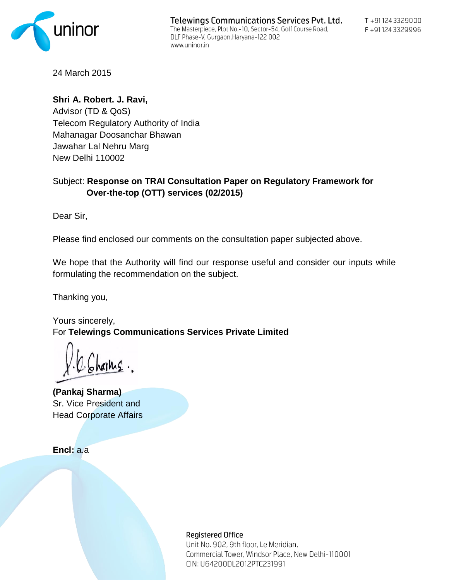

24 March 2015

**Shri A. Robert. J. Ravi,**  Advisor (TD & QoS) Telecom Regulatory Authority of India Mahanagar Doosanchar Bhawan Jawahar Lal Nehru Marg New Delhi 110002

# Subject: **Response on TRAI Consultation Paper on Regulatory Framework for Over-the-top (OTT) services (02/2015)**

Dear Sir,

Please find enclosed our comments on the consultation paper subjected above.

We hope that the Authority will find our response useful and consider our inputs while formulating the recommendation on the subject.

Thanking you,

Yours sincerely, For **Telewings Communications Services Private Limited**

**(Pankaj Sharma)** Sr. Vice President and Head Corporate Affairs

**Encl:** a.a

**Registered Office** 

Unit No. 902, 9th floor, Le Meridian, Commercial Tower, Windsor Place, New Delhi-110001 CIN: U64200DL2012PTC231991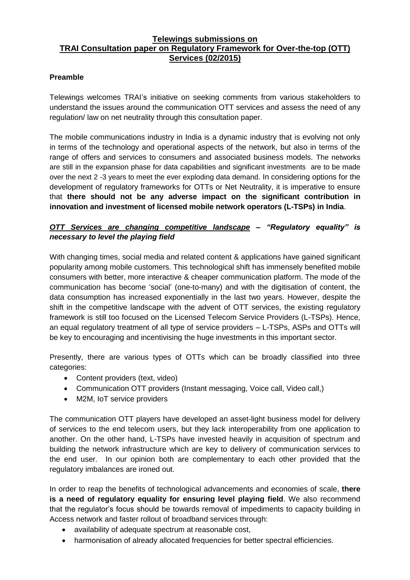## **Telewings submissions on TRAI Consultation paper on Regulatory Framework for Over-the-top (OTT) Services (02/2015)**

## **Preamble**

Telewings welcomes TRAI"s initiative on seeking comments from various stakeholders to understand the issues around the communication OTT services and assess the need of any regulation/ law on net neutrality through this consultation paper.

The mobile communications industry in India is a dynamic industry that is evolving not only in terms of the technology and operational aspects of the network, but also in terms of the range of offers and services to consumers and associated business models. The networks are still in the expansion phase for data capabilities and significant investments are to be made over the next 2 -3 years to meet the ever exploding data demand. In considering options for the development of regulatory frameworks for OTTs or Net Neutrality, it is imperative to ensure that **there should not be any adverse impact on the significant contribution in innovation and investment of licensed mobile network operators (L-TSPs) in India**.

## *OTT Services are changing competitive landscape – "Regulatory equality" is necessary to level the playing field*

With changing times, social media and related content & applications have gained significant popularity among mobile customers. This technological shift has immensely benefited mobile consumers with better, more interactive & cheaper communication platform. The mode of the communication has become "social" (one-to-many) and with the digitisation of content, the data consumption has increased exponentially in the last two years. However, despite the shift in the competitive landscape with the advent of OTT services, the existing regulatory framework is still too focused on the Licensed Telecom Service Providers (L-TSPs). Hence, an equal regulatory treatment of all type of service providers – L-TSPs, ASPs and OTTs will be key to encouraging and incentivising the huge investments in this important sector.

Presently, there are various types of OTTs which can be broadly classified into three categories:

- Content providers (text, video)
- Communication OTT providers (Instant messaging, Voice call, Video call,)
- M2M, IoT service providers

The communication OTT players have developed an asset-light business model for delivery of services to the end telecom users, but they lack interoperability from one application to another. On the other hand, L-TSPs have invested heavily in acquisition of spectrum and building the network infrastructure which are key to delivery of communication services to the end user. In our opinion both are complementary to each other provided that the regulatory imbalances are ironed out.

In order to reap the benefits of technological advancements and economies of scale, **there is a need of regulatory equality for ensuring level playing field**. We also recommend that the regulator"s focus should be towards removal of impediments to capacity building in Access network and faster rollout of broadband services through:

- availability of adequate spectrum at reasonable cost,
- harmonisation of already allocated frequencies for better spectral efficiencies.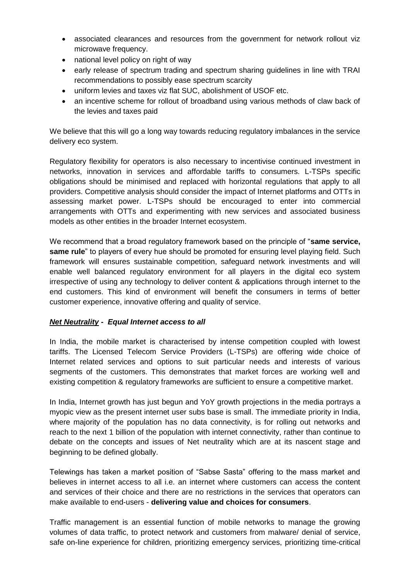- associated clearances and resources from the government for network rollout viz microwave frequency.
- national level policy on right of way
- early release of spectrum trading and spectrum sharing guidelines in line with TRAI recommendations to possibly ease spectrum scarcity
- uniform levies and taxes viz flat SUC, abolishment of USOF etc.
- an incentive scheme for rollout of broadband using various methods of claw back of the levies and taxes paid

We believe that this will go a long way towards reducing regulatory imbalances in the service delivery eco system.

Regulatory flexibility for operators is also necessary to incentivise continued investment in networks, innovation in services and affordable tariffs to consumers. L-TSPs specific obligations should be minimised and replaced with horizontal regulations that apply to all providers. Competitive analysis should consider the impact of Internet platforms and OTTs in assessing market power. L-TSPs should be encouraged to enter into commercial arrangements with OTTs and experimenting with new services and associated business models as other entities in the broader Internet ecosystem.

We recommend that a broad regulatory framework based on the principle of "**same service, same rule**" to players of every hue should be promoted for ensuring level playing field. Such framework will ensures sustainable competition, safeguard network investments and will enable well balanced regulatory environment for all players in the digital eco system irrespective of using any technology to deliver content & applications through internet to the end customers. This kind of environment will benefit the consumers in terms of better customer experience, innovative offering and quality of service.

## *Net Neutrality - Equal Internet access to all*

In India, the mobile market is characterised by intense competition coupled with lowest tariffs. The Licensed Telecom Service Providers (L-TSPs) are offering wide choice of Internet related services and options to suit particular needs and interests of various segments of the customers. This demonstrates that market forces are working well and existing competition & regulatory frameworks are sufficient to ensure a competitive market.

In India, Internet growth has just begun and YoY growth projections in the media portrays a myopic view as the present internet user subs base is small. The immediate priority in India, where majority of the population has no data connectivity, is for rolling out networks and reach to the next 1 billion of the population with internet connectivity, rather than continue to debate on the concepts and issues of Net neutrality which are at its nascent stage and beginning to be defined globally.

Telewings has taken a market position of "Sabse Sasta" offering to the mass market and believes in internet access to all i.e. an internet where customers can access the content and services of their choice and there are no restrictions in the services that operators can make available to end-users - **delivering value and choices for consumers**.

Traffic management is an essential function of mobile networks to manage the growing volumes of data traffic, to protect network and customers from malware/ denial of service, safe on-line experience for children, prioritizing emergency services, prioritizing time-critical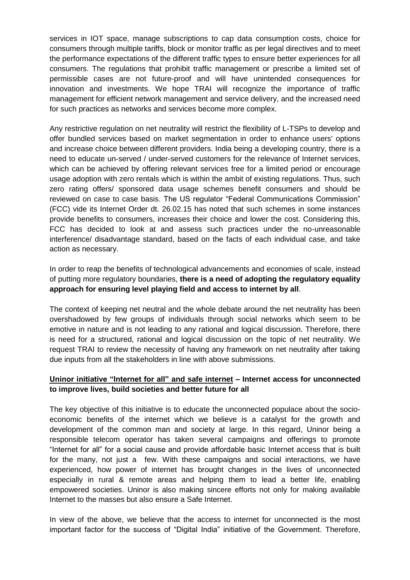services in IOT space, manage subscriptions to cap data consumption costs, choice for consumers through multiple tariffs, block or monitor traffic as per legal directives and to meet the performance expectations of the different traffic types to ensure better experiences for all consumers. The regulations that prohibit traffic management or prescribe a limited set of permissible cases are not future-proof and will have unintended consequences for innovation and investments. We hope TRAI will recognize the importance of traffic management for efficient network management and service delivery, and the increased need for such practices as networks and services become more complex.

Any restrictive regulation on net neutrality will restrict the flexibility of L-TSPs to develop and offer bundled services based on market segmentation in order to enhance users' options and increase choice between different providers. India being a developing country, there is a need to educate un-served / under-served customers for the relevance of Internet services, which can be achieved by offering relevant services free for a limited period or encourage usage adoption with zero rentals which is within the ambit of existing regulations. Thus, such zero rating offers/ sponsored data usage schemes benefit consumers and should be reviewed on case to case basis. The US regulator "Federal Communications Commission" (FCC) vide its Internet Order dt. 26.02.15 has noted that such schemes in some instances provide benefits to consumers, increases their choice and lower the cost. Considering this, FCC has decided to look at and assess such practices under the no-unreasonable interference/ disadvantage standard, based on the facts of each individual case, and take action as necessary.

In order to reap the benefits of technological advancements and economies of scale, instead of putting more regulatory boundaries, **there is a need of adopting the regulatory equality approach for ensuring level playing field and access to internet by all**.

The context of keeping net neutral and the whole debate around the net neutrality has been overshadowed by few groups of individuals through social networks which seem to be emotive in nature and is not leading to any rational and logical discussion. Therefore, there is need for a structured, rational and logical discussion on the topic of net neutrality. We request TRAI to review the necessity of having any framework on net neutrality after taking due inputs from all the stakeholders in line with above submissions.

## **Uninor initiative "Internet for all" and safe internet – Internet access for unconnected to improve lives, build societies and better future for all**

The key objective of this initiative is to educate the unconnected populace about the socioeconomic benefits of the internet which we believe is a catalyst for the growth and development of the common man and society at large. In this regard, Uninor being a responsible telecom operator has taken several campaigns and offerings to promote "Internet for all" for a social cause and provide affordable basic Internet access that is built for the many, not just a few. With these campaigns and social interactions, we have experienced, how power of internet has brought changes in the lives of unconnected especially in rural & remote areas and helping them to lead a better life, enabling empowered societies. Uninor is also making sincere efforts not only for making available Internet to the masses but also ensure a Safe Internet.

In view of the above, we believe that the access to internet for unconnected is the most important factor for the success of "Digital India" initiative of the Government. Therefore,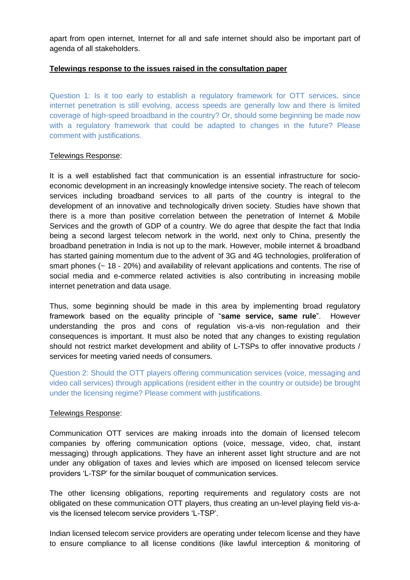apart from open internet, Internet for all and safe internet should also be important part of agenda of all stakeholders.

### **Telewings response to the issues raised in the consultation paper**

Question 1: Is it too early to establish a regulatory framework for OTT services, since internet penetration is still evolving, access speeds are generally low and there is limited coverage of high-speed broadband in the country? Or, should some beginning be made now with a regulatory framework that could be adapted to changes in the future? Please comment with justifications.

#### Telewings Response:

It is a well established fact that communication is an essential infrastructure for socioeconomic development in an increasingly knowledge intensive society. The reach of telecom services including broadband services to all parts of the country is integral to the development of an innovative and technologically driven society. Studies have shown that there is a more than positive correlation between the penetration of Internet & Mobile Services and the growth of GDP of a country. We do agree that despite the fact that India being a second largest telecom network in the world, next only to China, presently the broadband penetration in India is not up to the mark. However, mobile internet & broadband has started gaining momentum due to the advent of 3G and 4G technologies, proliferation of smart phones (~ 18 - 20%) and availability of relevant applications and contents. The rise of social media and e-commerce related activities is also contributing in increasing mobile internet penetration and data usage.

Thus, some beginning should be made in this area by implementing broad regulatory framework based on the equality principle of "**same service, same rule**". However understanding the pros and cons of regulation vis-a-vis non-regulation and their consequences is important. It must also be noted that any changes to existing regulation should not restrict market development and ability of L-TSPs to offer innovative products / services for meeting varied needs of consumers.

Question 2: Should the OTT players offering communication services (voice, messaging and video call services) through applications (resident either in the country or outside) be brought under the licensing regime? Please comment with justifications.

#### Telewings Response:

Communication OTT services are making inroads into the domain of licensed telecom companies by offering communication options (voice, message, video, chat, instant messaging) through applications. They have an inherent asset light structure and are not under any obligation of taxes and levies which are imposed on licensed telecom service providers "L-TSP" for the similar bouquet of communication services.

The other licensing obligations, reporting requirements and regulatory costs are not obligated on these communication OTT players, thus creating an un-level playing field vis-avis the licensed telecom service providers "L-TSP".

Indian licensed telecom service providers are operating under telecom license and they have to ensure compliance to all license conditions (like lawful interception & monitoring of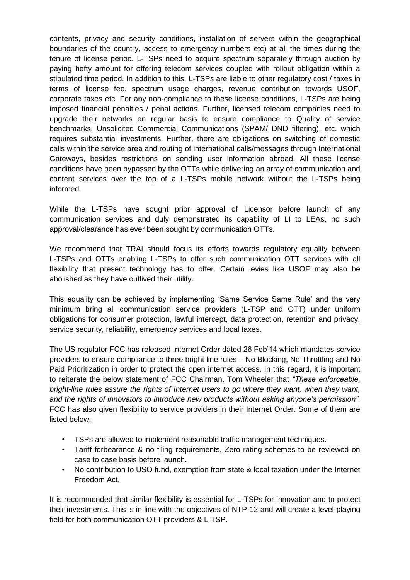contents, privacy and security conditions, installation of servers within the geographical boundaries of the country, access to emergency numbers etc) at all the times during the tenure of license period. L-TSPs need to acquire spectrum separately through auction by paying hefty amount for offering telecom services coupled with rollout obligation within a stipulated time period. In addition to this, L-TSPs are liable to other regulatory cost / taxes in terms of license fee, spectrum usage charges, revenue contribution towards USOF, corporate taxes etc. For any non-compliance to these license conditions, L-TSPs are being imposed financial penalties / penal actions. Further, licensed telecom companies need to upgrade their networks on regular basis to ensure compliance to Quality of service benchmarks, Unsolicited Commercial Communications (SPAM/ DND filtering), etc. which requires substantial investments. Further, there are obligations on switching of domestic calls within the service area and routing of international calls/messages through International Gateways, besides restrictions on sending user information abroad. All these license conditions have been bypassed by the OTTs while delivering an array of communication and content services over the top of a L-TSPs mobile network without the L-TSPs being informed.

While the L-TSPs have sought prior approval of Licensor before launch of any communication services and duly demonstrated its capability of LI to LEAs, no such approval/clearance has ever been sought by communication OTTs.

We recommend that TRAI should focus its efforts towards regulatory equality between L-TSPs and OTTs enabling L-TSPs to offer such communication OTT services with all flexibility that present technology has to offer. Certain levies like USOF may also be abolished as they have outlived their utility.

This equality can be achieved by implementing "Same Service Same Rule" and the very minimum bring all communication service providers (L-TSP and OTT) under uniform obligations for consumer protection, lawful intercept, data protection, retention and privacy, service security, reliability, emergency services and local taxes.

The US regulator FCC has released Internet Order dated 26 Feb"14 which mandates service providers to ensure compliance to three bright line rules – No Blocking, No Throttling and No Paid Prioritization in order to protect the open internet access. In this regard, it is important to reiterate the below statement of FCC Chairman, Tom Wheeler that *"These enforceable, bright-line rules assure the rights of Internet users to go where they want, when they want, and the rights of innovators to introduce new products without asking anyone's permission".*  FCC has also given flexibility to service providers in their Internet Order. Some of them are listed below:

- TSPs are allowed to implement reasonable traffic management techniques.
- Tariff forbearance & no filing requirements, Zero rating schemes to be reviewed on case to case basis before launch.
- No contribution to USO fund, exemption from state & local taxation under the Internet Freedom Act.

It is recommended that similar flexibility is essential for L-TSPs for innovation and to protect their investments. This is in line with the objectives of NTP-12 and will create a level-playing field for both communication OTT providers & L-TSP.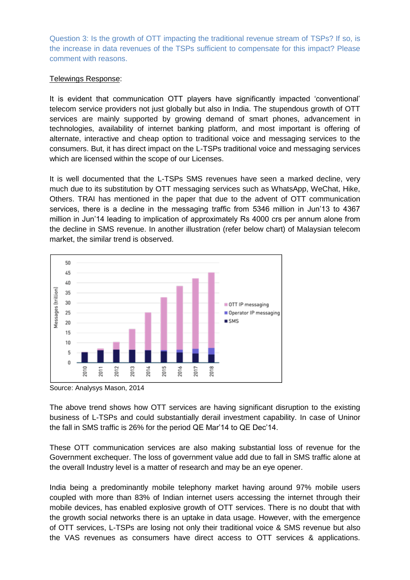Question 3: Is the growth of OTT impacting the traditional revenue stream of TSPs? If so, is the increase in data revenues of the TSPs sufficient to compensate for this impact? Please comment with reasons.

## Telewings Response:

It is evident that communication OTT players have significantly impacted "conventional" telecom service providers not just globally but also in India. The stupendous growth of OTT services are mainly supported by growing demand of smart phones, advancement in technologies, availability of internet banking platform, and most important is offering of alternate, interactive and cheap option to traditional voice and messaging services to the consumers. But, it has direct impact on the L-TSPs traditional voice and messaging services which are licensed within the scope of our Licenses.

It is well documented that the L-TSPs SMS revenues have seen a marked decline, very much due to its substitution by OTT messaging services such as WhatsApp, WeChat, Hike, Others. TRAI has mentioned in the paper that due to the advent of OTT communication services, there is a decline in the messaging traffic from 5346 million in Jun'13 to 4367 million in Jun"14 leading to implication of approximately Rs 4000 crs per annum alone from the decline in SMS revenue. In another illustration (refer below chart) of Malaysian telecom market, the similar trend is observed.



Source: Analysys Mason, 2014

The above trend shows how OTT services are having significant disruption to the existing business of L-TSPs and could substantially derail investment capability. In case of Uninor the fall in SMS traffic is 26% for the period QE Mar"14 to QE Dec"14.

These OTT communication services are also making substantial loss of revenue for the Government exchequer. The loss of government value add due to fall in SMS traffic alone at the overall Industry level is a matter of research and may be an eye opener.

India being a predominantly mobile telephony market having around 97% mobile users coupled with more than 83% of Indian internet users accessing the internet through their mobile devices, has enabled explosive growth of OTT services. There is no doubt that with the growth social networks there is an uptake in data usage. However, with the emergence of OTT services, L-TSPs are losing not only their traditional voice & SMS revenue but also the VAS revenues as consumers have direct access to OTT services & applications.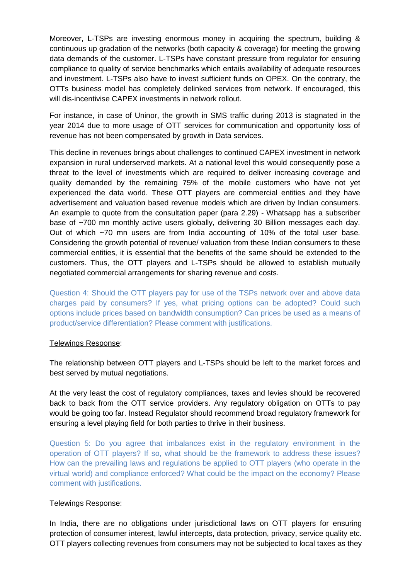Moreover, L-TSPs are investing enormous money in acquiring the spectrum, building & continuous up gradation of the networks (both capacity & coverage) for meeting the growing data demands of the customer. L-TSPs have constant pressure from regulator for ensuring compliance to quality of service benchmarks which entails availability of adequate resources and investment. L-TSPs also have to invest sufficient funds on OPEX. On the contrary, the OTTs business model has completely delinked services from network. If encouraged, this will dis-incentivise CAPEX investments in network rollout.

For instance, in case of Uninor, the growth in SMS traffic during 2013 is stagnated in the year 2014 due to more usage of OTT services for communication and opportunity loss of revenue has not been compensated by growth in Data services.

This decline in revenues brings about challenges to continued CAPEX investment in network expansion in rural underserved markets. At a national level this would consequently pose a threat to the level of investments which are required to deliver increasing coverage and quality demanded by the remaining 75% of the mobile customers who have not yet experienced the data world. These OTT players are commercial entities and they have advertisement and valuation based revenue models which are driven by Indian consumers. An example to quote from the consultation paper (para 2.29) - Whatsapp has a subscriber base of ~700 mn monthly active users globally, delivering 30 Billion messages each day. Out of which ~70 mn users are from India accounting of 10% of the total user base. Considering the growth potential of revenue/ valuation from these Indian consumers to these commercial entities, it is essential that the benefits of the same should be extended to the customers. Thus, the OTT players and L-TSPs should be allowed to establish mutually negotiated commercial arrangements for sharing revenue and costs.

Question 4: Should the OTT players pay for use of the TSPs network over and above data charges paid by consumers? If yes, what pricing options can be adopted? Could such options include prices based on bandwidth consumption? Can prices be used as a means of product/service differentiation? Please comment with justifications.

## Telewings Response:

The relationship between OTT players and L-TSPs should be left to the market forces and best served by mutual negotiations.

At the very least the cost of regulatory compliances, taxes and levies should be recovered back to back from the OTT service providers. Any regulatory obligation on OTTs to pay would be going too far. Instead Regulator should recommend broad regulatory framework for ensuring a level playing field for both parties to thrive in their business.

Question 5: Do you agree that imbalances exist in the regulatory environment in the operation of OTT players? If so, what should be the framework to address these issues? How can the prevailing laws and regulations be applied to OTT players (who operate in the virtual world) and compliance enforced? What could be the impact on the economy? Please comment with justifications.

## Telewings Response:

In India, there are no obligations under jurisdictional laws on OTT players for ensuring protection of consumer interest, lawful intercepts, data protection, privacy, service quality etc. OTT players collecting revenues from consumers may not be subjected to local taxes as they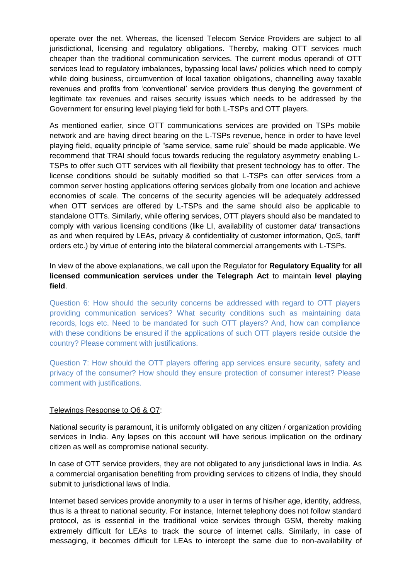operate over the net. Whereas, the licensed Telecom Service Providers are subject to all jurisdictional, licensing and regulatory obligations. Thereby, making OTT services much cheaper than the traditional communication services. The current modus operandi of OTT services lead to regulatory imbalances, bypassing local laws/ policies which need to comply while doing business, circumvention of local taxation obligations, channelling away taxable revenues and profits from "conventional" service providers thus denying the government of legitimate tax revenues and raises security issues which needs to be addressed by the Government for ensuring level playing field for both L-TSPs and OTT players.

As mentioned earlier, since OTT communications services are provided on TSPs mobile network and are having direct bearing on the L-TSPs revenue, hence in order to have level playing field, equality principle of "same service, same rule" should be made applicable. We recommend that TRAI should focus towards reducing the regulatory asymmetry enabling L-TSPs to offer such OTT services with all flexibility that present technology has to offer. The license conditions should be suitably modified so that L-TSPs can offer services from a common server hosting applications offering services globally from one location and achieve economies of scale. The concerns of the security agencies will be adequately addressed when OTT services are offered by L-TSPs and the same should also be applicable to standalone OTTs. Similarly, while offering services, OTT players should also be mandated to comply with various licensing conditions (like LI, availability of customer data/ transactions as and when required by LEAs, privacy & confidentiality of customer information, QoS, tariff orders etc.) by virtue of entering into the bilateral commercial arrangements with L-TSPs.

In view of the above explanations, we call upon the Regulator for **Regulatory Equality** for **all licensed communication services under the Telegraph Act** to maintain **level playing field**.

Question 6: How should the security concerns be addressed with regard to OTT players providing communication services? What security conditions such as maintaining data records, logs etc. Need to be mandated for such OTT players? And, how can compliance with these conditions be ensured if the applications of such OTT players reside outside the country? Please comment with justifications.

Question 7: How should the OTT players offering app services ensure security, safety and privacy of the consumer? How should they ensure protection of consumer interest? Please comment with justifications.

## Telewings Response to Q6 & Q7:

National security is paramount, it is uniformly obligated on any citizen / organization providing services in India. Any lapses on this account will have serious implication on the ordinary citizen as well as compromise national security.

In case of OTT service providers, they are not obligated to any jurisdictional laws in India. As a commercial organisation benefiting from providing services to citizens of India, they should submit to jurisdictional laws of India.

Internet based services provide anonymity to a user in terms of his/her age, identity, address, thus is a threat to national security. For instance, Internet telephony does not follow standard protocol, as is essential in the traditional voice services through GSM, thereby making extremely difficult for LEAs to track the source of internet calls. Similarly, in case of messaging, it becomes difficult for LEAs to intercept the same due to non-availability of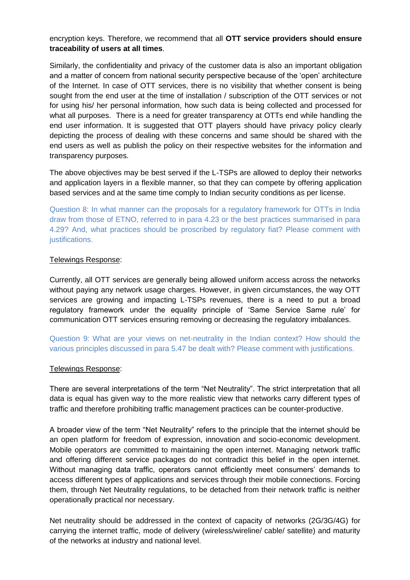## encryption keys. Therefore, we recommend that all **OTT service providers should ensure traceability of users at all times**.

Similarly, the confidentiality and privacy of the customer data is also an important obligation and a matter of concern from national security perspective because of the "open" architecture of the Internet. In case of OTT services, there is no visibility that whether consent is being sought from the end user at the time of installation / subscription of the OTT services or not for using his/ her personal information, how such data is being collected and processed for what all purposes. There is a need for greater transparency at OTTs end while handling the end user information. It is suggested that OTT players should have privacy policy clearly depicting the process of dealing with these concerns and same should be shared with the end users as well as publish the policy on their respective websites for the information and transparency purposes.

The above objectives may be best served if the L-TSPs are allowed to deploy their networks and application layers in a flexible manner, so that they can compete by offering application based services and at the same time comply to Indian security conditions as per license.

Question 8: In what manner can the proposals for a regulatory framework for OTTs in India draw from those of ETNO, referred to in para 4.23 or the best practices summarised in para 4.29? And, what practices should be proscribed by regulatory fiat? Please comment with justifications.

## Telewings Response:

Currently, all OTT services are generally being allowed uniform access across the networks without paying any network usage charges. However, in given circumstances, the way OTT services are growing and impacting L-TSPs revenues, there is a need to put a broad regulatory framework under the equality principle of "Same Service Same rule" for communication OTT services ensuring removing or decreasing the regulatory imbalances.

Question 9: What are your views on net-neutrality in the Indian context? How should the various principles discussed in para 5.47 be dealt with? Please comment with justifications.

## Telewings Response:

There are several interpretations of the term "Net Neutrality". The strict interpretation that all data is equal has given way to the more realistic view that networks carry different types of traffic and therefore prohibiting traffic management practices can be counter-productive.

A broader view of the term "Net Neutrality" refers to the principle that the internet should be an open platform for freedom of expression, innovation and socio-economic development. Mobile operators are committed to maintaining the open internet. Managing network traffic and offering different service packages do not contradict this belief in the open internet. Without managing data traffic, operators cannot efficiently meet consumers" demands to access different types of applications and services through their mobile connections. Forcing them, through Net Neutrality regulations, to be detached from their network traffic is neither operationally practical nor necessary.

Net neutrality should be addressed in the context of capacity of networks (2G/3G/4G) for carrying the internet traffic, mode of delivery (wireless/wireline/ cable/ satellite) and maturity of the networks at industry and national level.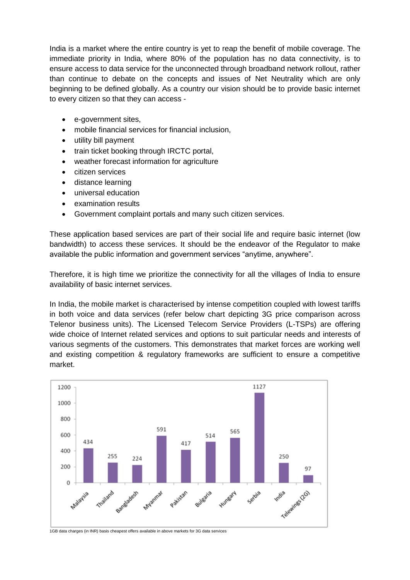India is a market where the entire country is yet to reap the benefit of mobile coverage. The immediate priority in India, where 80% of the population has no data connectivity, is to ensure access to data service for the unconnected through broadband network rollout, rather than continue to debate on the concepts and issues of Net Neutrality which are only beginning to be defined globally. As a country our vision should be to provide basic internet to every citizen so that they can access -

- e-government sites,
- mobile financial services for financial inclusion,
- utility bill payment
- train ticket booking through IRCTC portal,
- weather forecast information for agriculture
- citizen services
- distance learning
- universal education
- examination results
- Government complaint portals and many such citizen services.

These application based services are part of their social life and require basic internet (low bandwidth) to access these services. It should be the endeavor of the Regulator to make available the public information and government services "anytime, anywhere".

Therefore, it is high time we prioritize the connectivity for all the villages of India to ensure availability of basic internet services.

In India, the mobile market is characterised by intense competition coupled with lowest tariffs in both voice and data services (refer below chart depicting 3G price comparison across Telenor business units). The Licensed Telecom Service Providers (L-TSPs) are offering wide choice of Internet related services and options to suit particular needs and interests of various segments of the customers. This demonstrates that market forces are working well and existing competition & regulatory frameworks are sufficient to ensure a competitive market.



1GB data charges (in INR) basis cheapest offers available in above markets for 3G data services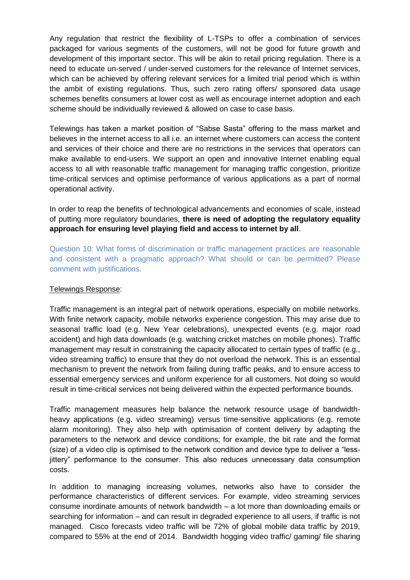Any regulation that restrict the flexibility of L-TSPs to offer a combination of services packaged for various segments of the customers, will not be good for future growth and development of this important sector. This will be akin to retail pricing regulation. There is a need to educate un-served / under-served customers for the relevance of Internet services, which can be achieved by offering relevant services for a limited trial period which is within the ambit of existing regulations. Thus, such zero rating offers/ sponsored data usage schemes benefits consumers at lower cost as well as encourage internet adoption and each scheme should be individually reviewed & allowed on case to case basis.

Telewings has taken a market position of "Sabse Sasta" offering to the mass market and believes in the internet access to all i.e. an internet where customers can access the content and services of their choice and there are no restrictions in the services that operators can make available to end-users. We support an open and innovative Internet enabling equal access to all with reasonable traffic management for managing traffic congestion, prioritize time-critical services and optimise performance of various applications as a part of normal operational activity.

In order to reap the benefits of technological advancements and economies of scale, instead of putting more regulatory boundaries, **there is need of adopting the regulatory equality approach for ensuring level playing field and access to internet by all**.

Question 10: What forms of discrimination or traffic management practices are reasonable and consistent with a pragmatic approach? What should or can be permitted? Please comment with justifications.

#### Telewings Response:

Traffic management is an integral part of network operations, especially on mobile networks. With finite network capacity, mobile networks experience congestion. This may arise due to seasonal traffic load (e.g. New Year celebrations), unexpected events (e.g. major road accident) and high data downloads (e.g. watching cricket matches on mobile phones). Traffic management may result in constraining the capacity allocated to certain types of traffic (e.g., video streaming traffic) to ensure that they do not overload the network. This is an essential mechanism to prevent the network from failing during traffic peaks, and to ensure access to essential emergency services and uniform experience for all customers. Not doing so would result in time-critical services not being delivered within the expected performance bounds.

Traffic management measures help balance the network resource usage of bandwidthheavy applications (e.g. video streaming) versus time-sensitive applications (e.g. remote alarm monitoring). They also help with optimisation of content delivery by adapting the parameters to the network and device conditions; for example, the bit rate and the format (size) of a video clip is optimised to the network condition and device type to deliver a "lessjittery" performance to the consumer. This also reduces unnecessary data consumption costs.

In addition to managing increasing volumes, networks also have to consider the performance characteristics of different services. For example, video streaming services consume inordinate amounts of network bandwidth – a lot more than downloading emails or searching for information – and can result in degraded experience to all users, if traffic is not managed. Cisco forecasts video traffic will be 72% of global mobile data traffic by 2019, compared to 55% at the end of 2014. Bandwidth hogging video traffic/ gaming/ file sharing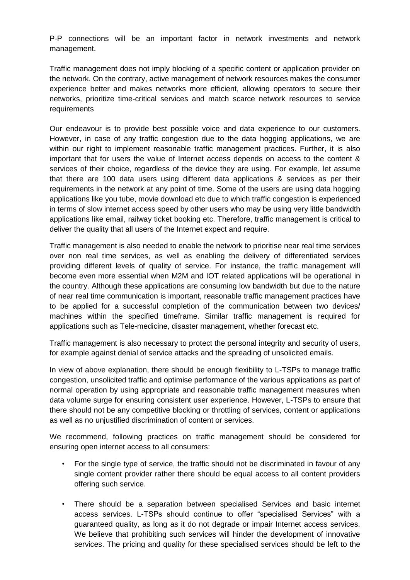P-P connections will be an important factor in network investments and network management.

Traffic management does not imply blocking of a specific content or application provider on the network. On the contrary, active management of network resources makes the consumer experience better and makes networks more efficient, allowing operators to secure their networks, prioritize time-critical services and match scarce network resources to service requirements

Our endeavour is to provide best possible voice and data experience to our customers. However, in case of any traffic congestion due to the data hogging applications, we are within our right to implement reasonable traffic management practices. Further, it is also important that for users the value of Internet access depends on access to the content & services of their choice, regardless of the device they are using. For example, let assume that there are 100 data users using different data applications & services as per their requirements in the network at any point of time. Some of the users are using data hogging applications like you tube, movie download etc due to which traffic congestion is experienced in terms of slow internet access speed by other users who may be using very little bandwidth applications like email, railway ticket booking etc. Therefore, traffic management is critical to deliver the quality that all users of the Internet expect and require.

Traffic management is also needed to enable the network to prioritise near real time services over non real time services, as well as enabling the delivery of differentiated services providing different levels of quality of service. For instance, the traffic management will become even more essential when M2M and IOT related applications will be operational in the country. Although these applications are consuming low bandwidth but due to the nature of near real time communication is important, reasonable traffic management practices have to be applied for a successful completion of the communication between two devices/ machines within the specified timeframe. Similar traffic management is required for applications such as Tele-medicine, disaster management, whether forecast etc.

Traffic management is also necessary to protect the personal integrity and security of users, for example against denial of service attacks and the spreading of unsolicited emails.

In view of above explanation, there should be enough flexibility to L-TSPs to manage traffic congestion, unsolicited traffic and optimise performance of the various applications as part of normal operation by using appropriate and reasonable traffic management measures when data volume surge for ensuring consistent user experience. However, L-TSPs to ensure that there should not be any competitive blocking or throttling of services, content or applications as well as no unjustified discrimination of content or services.

We recommend, following practices on traffic management should be considered for ensuring open internet access to all consumers:

- For the single type of service, the traffic should not be discriminated in favour of any single content provider rather there should be equal access to all content providers offering such service.
- There should be a separation between specialised Services and basic internet access services. L-TSPs should continue to offer "specialised Services" with a guaranteed quality, as long as it do not degrade or impair Internet access services. We believe that prohibiting such services will hinder the development of innovative services. The pricing and quality for these specialised services should be left to the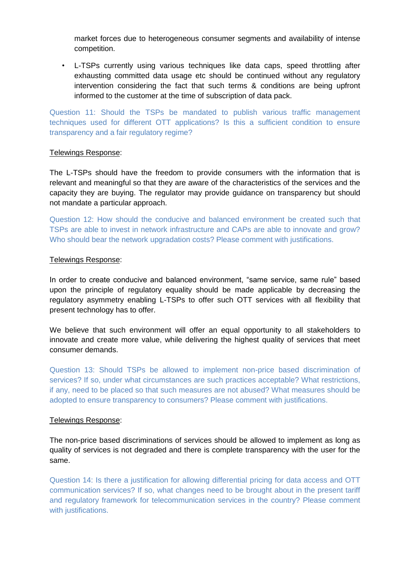market forces due to heterogeneous consumer segments and availability of intense competition.

• L-TSPs currently using various techniques like data caps, speed throttling after exhausting committed data usage etc should be continued without any regulatory intervention considering the fact that such terms & conditions are being upfront informed to the customer at the time of subscription of data pack.

Question 11: Should the TSPs be mandated to publish various traffic management techniques used for different OTT applications? Is this a sufficient condition to ensure transparency and a fair regulatory regime?

#### Telewings Response:

The L-TSPs should have the freedom to provide consumers with the information that is relevant and meaningful so that they are aware of the characteristics of the services and the capacity they are buying. The regulator may provide guidance on transparency but should not mandate a particular approach.

Question 12: How should the conducive and balanced environment be created such that TSPs are able to invest in network infrastructure and CAPs are able to innovate and grow? Who should bear the network upgradation costs? Please comment with justifications.

#### Telewings Response:

In order to create conducive and balanced environment, "same service, same rule" based upon the principle of regulatory equality should be made applicable by decreasing the regulatory asymmetry enabling L-TSPs to offer such OTT services with all flexibility that present technology has to offer.

We believe that such environment will offer an equal opportunity to all stakeholders to innovate and create more value, while delivering the highest quality of services that meet consumer demands.

Question 13: Should TSPs be allowed to implement non-price based discrimination of services? If so, under what circumstances are such practices acceptable? What restrictions, if any, need to be placed so that such measures are not abused? What measures should be adopted to ensure transparency to consumers? Please comment with justifications.

#### Telewings Response:

The non-price based discriminations of services should be allowed to implement as long as quality of services is not degraded and there is complete transparency with the user for the same.

Question 14: Is there a justification for allowing differential pricing for data access and OTT communication services? If so, what changes need to be brought about in the present tariff and regulatory framework for telecommunication services in the country? Please comment with justifications.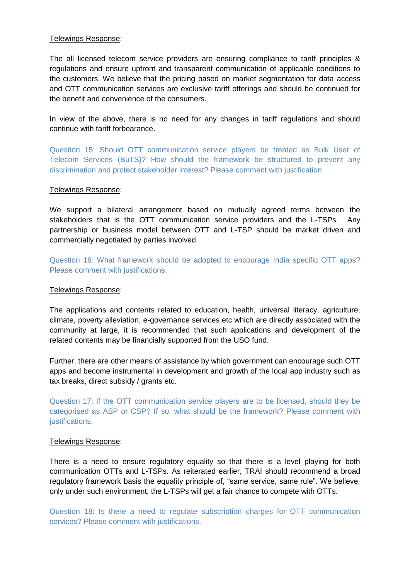## Telewings Response:

The all licensed telecom service providers are ensuring compliance to tariff principles & regulations and ensure upfront and transparent communication of applicable conditions to the customers. We believe that the pricing based on market segmentation for data access and OTT communication services are exclusive tariff offerings and should be continued for the benefit and convenience of the consumers.

In view of the above, there is no need for any changes in tariff regulations and should continue with tariff forbearance.

Question 15: Should OTT communication service players be treated as Bulk User of Telecom Services (BuTS)? How should the framework be structured to prevent any discrimination and protect stakeholder interest? Please comment with justification.

#### Telewings Response:

We support a bilateral arrangement based on mutually agreed terms between the stakeholders that is the OTT communication service providers and the L-TSPs. Any partnership or business model between OTT and L-TSP should be market driven and commercially negotiated by parties involved.

Question 16: What framework should be adopted to encourage India specific OTT apps? Please comment with justifications.

#### Telewings Response:

The applications and contents related to education, health, universal literacy, agriculture, climate, poverty alleviation, e-governance services etc which are directly associated with the community at large, it is recommended that such applications and development of the related contents may be financially supported from the USO fund.

Further, there are other means of assistance by which government can encourage such OTT apps and become instrumental in development and growth of the local app industry such as tax breaks, direct subsidy / grants etc.

Question 17: If the OTT communication service players are to be licensed, should they be categorised as ASP or CSP? If so, what should be the framework? Please comment with justifications.

#### Telewings Response:

There is a need to ensure regulatory equality so that there is a level playing for both communication OTTs and L-TSPs. As reiterated earlier, TRAI should recommend a broad regulatory framework basis the equality principle of, "same service, same rule". We believe, only under such environment, the L-TSPs will get a fair chance to compete with OTTs.

Question 18: Is there a need to regulate subscription charges for OTT communication services? Please comment with justifications.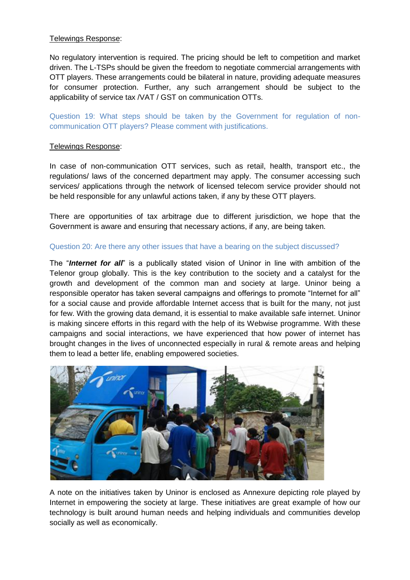## Telewings Response:

No regulatory intervention is required. The pricing should be left to competition and market driven. The L-TSPs should be given the freedom to negotiate commercial arrangements with OTT players. These arrangements could be bilateral in nature, providing adequate measures for consumer protection. Further, any such arrangement should be subject to the applicability of service tax /VAT / GST on communication OTTs.

Question 19: What steps should be taken by the Government for regulation of noncommunication OTT players? Please comment with justifications.

## Telewings Response:

In case of non-communication OTT services, such as retail, health, transport etc., the regulations/ laws of the concerned department may apply. The consumer accessing such services/ applications through the network of licensed telecom service provider should not be held responsible for any unlawful actions taken, if any by these OTT players.

There are opportunities of tax arbitrage due to different jurisdiction, we hope that the Government is aware and ensuring that necessary actions, if any, are being taken.

## Question 20: Are there any other issues that have a bearing on the subject discussed?

The "*Internet for all*" is a publically stated vision of Uninor in line with ambition of the Telenor group globally. This is the key contribution to the society and a catalyst for the growth and development of the common man and society at large. Uninor being a responsible operator has taken several campaigns and offerings to promote "Internet for all" for a social cause and provide affordable Internet access that is built for the many, not just for few. With the growing data demand, it is essential to make available safe internet. Uninor is making sincere efforts in this regard with the help of its Webwise programme. With these campaigns and social interactions, we have experienced that how power of internet has brought changes in the lives of unconnected especially in rural & remote areas and helping them to lead a better life, enabling empowered societies.



A note on the initiatives taken by Uninor is enclosed as Annexure depicting role played by Internet in empowering the society at large. These initiatives are great example of how our technology is built around human needs and helping individuals and communities develop socially as well as economically.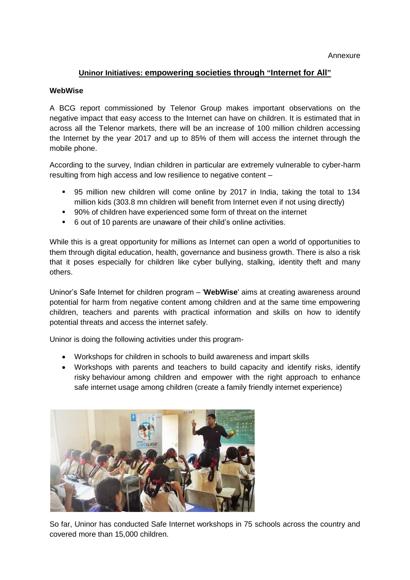## **Uninor Initiatives: empowering societies through "Internet for All"**

#### **WebWise**

A BCG report commissioned by Telenor Group makes important observations on the negative impact that easy access to the Internet can have on children. It is estimated that in across all the Telenor markets, there will be an increase of 100 million children accessing the Internet by the year 2017 and up to 85% of them will access the internet through the mobile phone.

According to the survey, Indian children in particular are extremely vulnerable to cyber-harm resulting from high access and low resilience to negative content –

- 95 million new children will come online by 2017 in India, taking the total to 134 million kids (303.8 mn children will benefit from Internet even if not using directly)
- 90% of children have experienced some form of threat on the internet
- 6 out of 10 parents are unaware of their child"s online activities.

While this is a great opportunity for millions as Internet can open a world of opportunities to them through digital education, health, governance and business growth. There is also a risk that it poses especially for children like cyber bullying, stalking, identity theft and many others.

Uninor"s Safe Internet for children program – '**WebWise**' aims at creating awareness around potential for harm from negative content among children and at the same time empowering children, teachers and parents with practical information and skills on how to identify potential threats and access the internet safely.

Uninor is doing the following activities under this program-

- Workshops for children in schools to build awareness and impart skills
- Workshops with parents and teachers to build capacity and identify risks, identify risky behaviour among children and empower with the right approach to enhance safe internet usage among children (create a family friendly internet experience)



So far, Uninor has conducted Safe Internet workshops in 75 schools across the country and covered more than 15,000 children.